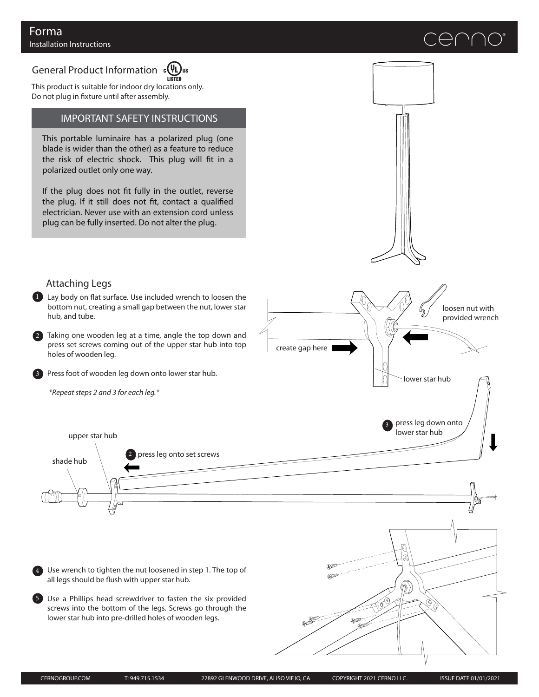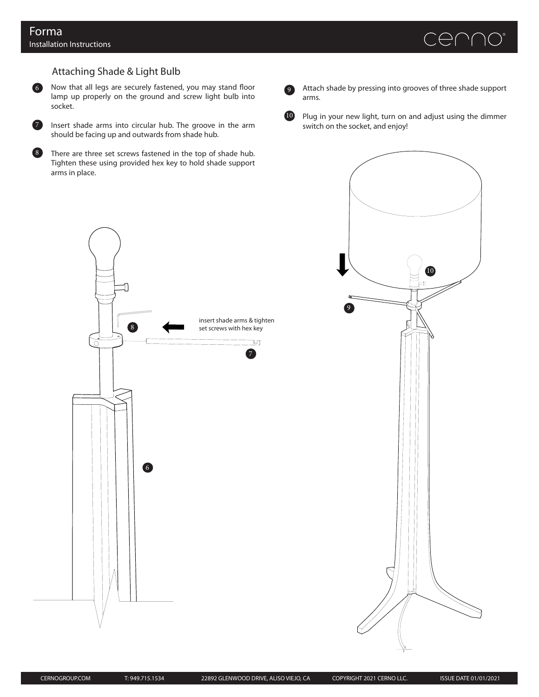

# Attaching Shade & Light Bulb

6 Now that all legs are securely fastened, you may stand floor lamp up properly on the ground and screw light bulb into socket.



Insert shade arms into circular hub. The groove in the arm should be facing up and outwards from shade hub.



There are three set screws fastened in the top of shade hub. Tighten these using provided hex key to hold shade support arms in place.

Attach shade by pressing into grooves of three shade support arms.

9

10 Plug in your new light, turn on and adjust using the dimmer switch on the socket, and enjoy!